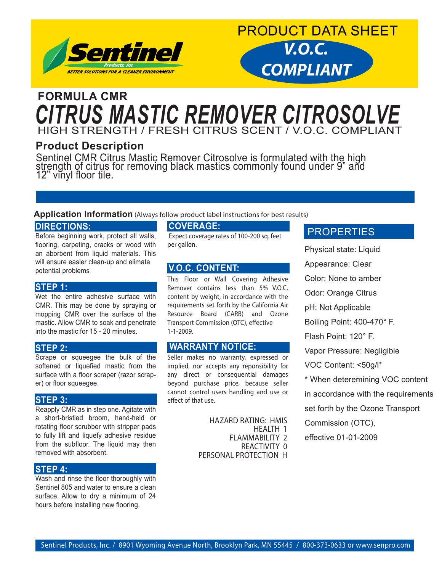



### HIGH STRENGTH / FRESH CITRUS SCENT / V.O.C. COMPLIANT **FORMULA CMR** *CITRUS MASTIC REMOVER CITROSOLVE*

#### **Product Description**

Sentinel CMR Citrus Mastic Remover Citrosolve is formulated with the high strength of citrus for removing black mastics commonly found under 9" and 12" vinyl floor tile.

#### **Application Information** (Always follow product label instructions for best results)

#### **DIRECTIONS:**

Before beginning work, protect all walls, flooring, carpeting, cracks or wood with an aborbent from liquid materials. This will ensure easier clean-up and elimate potential problems

#### **STEP 1:**

Wet the entire adhesive surface with CMR. This may be done by spraying or mopping CMR over the surface of the mastic. Allow CMR to soak and penetrate into the mastic for 15 - 20 minutes.

#### **STEP 2:**

Scrape or squeegee the bulk of the softened or liquefied mastic from the surface with a floor scraper (razor scraper) or floor squeegee.

#### **STEP 3:**

Reapply CMR as in step one. Agitate with a short-bristled broom, hand-held or rotating floor scrubber with stripper pads to fully lift and liquefy adhesive residue from the subfloor. The liquid may then removed with absorbent.

#### **STEP 4:**

Wash and rinse the floor thoroughly with Sentinel 805 and water to ensure a clean surface. Allow to dry a minimum of 24 hours before installing new flooring.

#### **COVERAGE:**

 Expect coverage rates of 100-200 sq. feet per gallon.

#### **V.O.C. CONTENT:**

This Floor or Wall Covering Adhesive Remover contains less than 5% V.O.C. content by weight, in accordance with the requirements set forth by the California Air Resource Board (CARB) and Ozone Transport Commission (OTC), effective 1-1-2009.

#### **WARRANTY NOTICE:**

Seller makes no warranty, expressed or implied, nor accepts any reponsibility for any direct or consequential damages beyond purchase price, because seller cannot control users handling and use or effect of that use.

> HAZARD RATING: HMIS HEALTH 1 FLAMMABILITY 2 REACTIVITY 0 PERSONAL PROTECTION H

#### **PROPERTIES**

Physical state: Liquid Appearance: Clear Color: None to amber Odor: Orange Citrus pH: Not Applicable Boiling Point: 400-470° F. Flash Point: 120° F. Vapor Pressure: Negligible VOC Content: <50g/l\* \* When deteremining VOC content in accordance with the requirements set forth by the Ozone Transport Commission (OTC), effective 01-01-2009